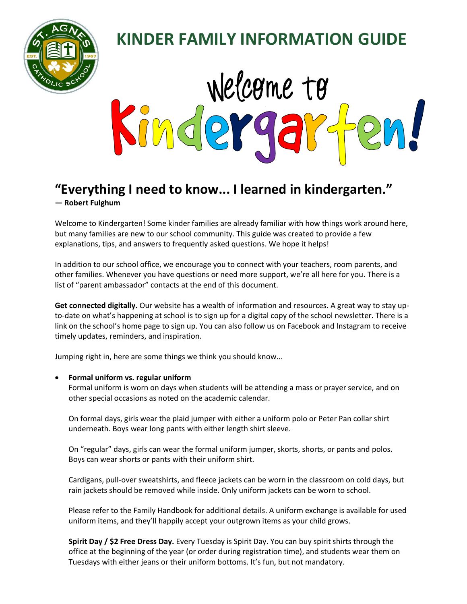

# **KINDER FAMILY INFORMATION GUIDE**



# **"Everything I need to know... I learned in kindergarten." ― [Robert Fulghum](http://www.goodreads.com/author/show/19630.Robert_Fulghum)**

Welcome to Kindergarten! Some kinder families are already familiar with how things work around here, but many families are new to our school community. This guide was created to provide a few explanations, tips, and answers to frequently asked questions. We hope it helps!

In addition to our school office, we encourage you to connect with your teachers, room parents, and other families. Whenever you have questions or need more support, we're all here for you. There is a list of "parent ambassador" contacts at the end of this document.

**Get connected digitally.** Our website has a wealth of information and resources. A great way to stay upto-date on what's happening at school is to sign up for a digital copy of the school newsletter. There is a link on the school's home page to sign up. You can also follow us on Facebook and Instagram to receive timely updates, reminders, and inspiration.

Jumping right in, here are some things we think you should know...

# • **Formal uniform vs. regular uniform**

Formal uniform is worn on days when students will be attending a mass or prayer service, and on other special occasions as noted on the academic calendar.

On formal days, girls wear the plaid jumper with either a uniform polo or Peter Pan collar shirt underneath. Boys wear long pants with either length shirt sleeve.

On "regular" days, girls can wear the formal uniform jumper, skorts, shorts, or pants and polos. Boys can wear shorts or pants with their uniform shirt.

Cardigans, pull-over sweatshirts, and fleece jackets can be worn in the classroom on cold days, but rain jackets should be removed while inside. Only uniform jackets can be worn to school.

Please refer to the Family Handbook for additional details. A uniform exchange is available for used uniform items, and they'll happily accept your outgrown items as your child grows.

**Spirit Day / \$2 Free Dress Day.** Every Tuesday is Spirit Day. You can buy spirit shirts through the office at the beginning of the year (or order during registration time), and students wear them on Tuesdays with either jeans or their uniform bottoms. It's fun, but not mandatory.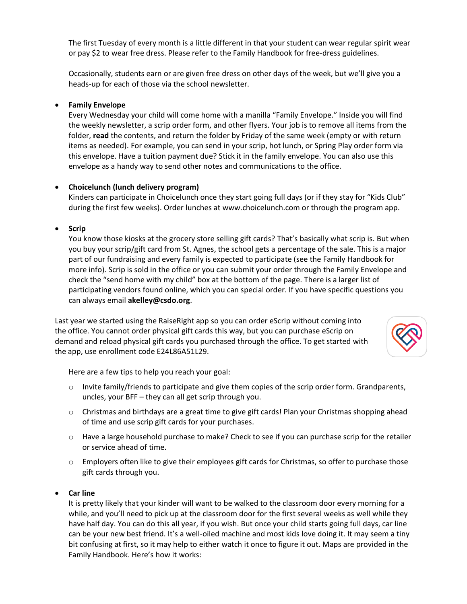The first Tuesday of every month is a little different in that your student can wear regular spirit wear or pay \$2 to wear free dress. Please refer to the Family Handbook for free-dress guidelines.

Occasionally, students earn or are given free dress on other days of the week, but we'll give you a heads-up for each of those via the school newsletter.

# • **Family Envelope**

Every Wednesday your child will come home with a manilla "Family Envelope." Inside you will find the weekly newsletter, a scrip order form, and other flyers. Your job is to remove all items from the folder, **read** the contents, and return the folder by Friday of the same week (empty or with return items as needed). For example, you can send in your scrip, hot lunch, or Spring Play order form via this envelope. Have a tuition payment due? Stick it in the family envelope. You can also use this envelope as a handy way to send other notes and communications to the office.

# • **Choicelunch (lunch delivery program)**

Kinders can participate in Choicelunch once they start going full days (or if they stay for "Kids Club" during the first few weeks). Order lunches at www.choicelunch.com or through the program app.

## • **Scrip**

You know those kiosks at the grocery store selling gift cards? That's basically what scrip is. But when you buy your scrip/gift card from St. Agnes, the school gets a percentage of the sale. This is a major part of our fundraising and every family is expected to participate (see the Family Handbook for more info). Scrip is sold in the office or you can submit your order through the Family Envelope and check the "send home with my child" box at the bottom of the page. There is a larger list of participating vendors found online, which you can special order. If you have specific questions you can always email **akelley@csdo.org**.

Last year we started using the RaiseRight app so you can order eScrip without coming into the office. You cannot order physical gift cards this way, but you can purchase eScrip on demand and reload physical gift cards you purchased through the office. To get started with the app, use enrollment code E24L86A51L29.



Here are a few tips to help you reach your goal:

- $\circ$  Invite family/friends to participate and give them copies of the scrip order form. Grandparents, uncles, your BFF – they can all get scrip through you.
- $\circ$  Christmas and birthdays are a great time to give gift cards! Plan your Christmas shopping ahead of time and use scrip gift cards for your purchases.
- o Have a large household purchase to make? Check to see if you can purchase scrip for the retailer or service ahead of time.
- $\circ$  Employers often like to give their employees gift cards for Christmas, so offer to purchase those gift cards through you.

#### • **Car line**

It is pretty likely that your kinder will want to be walked to the classroom door every morning for a while, and you'll need to pick up at the classroom door for the first several weeks as well while they have half day. You can do this all year, if you wish. But once your child starts going full days, car line can be your new best friend. It's a well-oiled machine and most kids love doing it. It may seem a tiny bit confusing at first, so it may help to either watch it once to figure it out. Maps are provided in the Family Handbook. Here's how it works: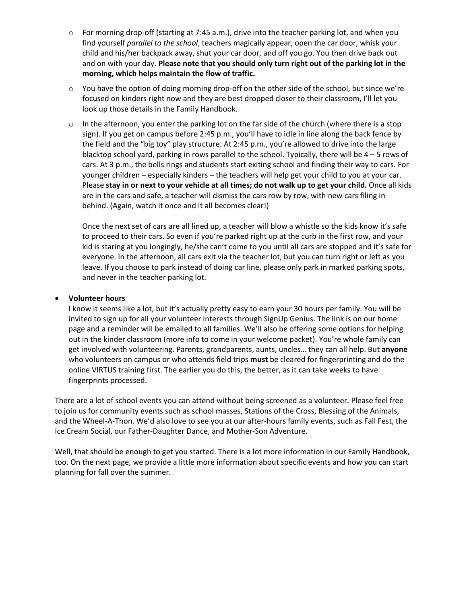- o For morning drop-off (starting at 7:45 a.m.), drive into the teacher parking lot, and when you find yourself *parallel to the school*, teachers magically appear, open the car door, whisk your child and his/her backpack away, shut your car door, and off you go. You then drive back out and on with your day. **Please note that you should only turn right out of the parking lot in the morning, which helps maintain the flow of traffic.**
- $\circ$  You have the option of doing morning drop-off on the other side of the school, but since we're focused on kinders right now and they are best dropped closer to their classroom, I'll let you look up those details in the Family Handbook.
- $\circ$  In the afternoon, you enter the parking lot on the far side of the church (where there is a stop sign). If you get on campus before 2:45 p.m., you'll have to idle in line along the back fence by the field and the "big toy" play structure. At 2:45 p.m., you're allowed to drive into the large blacktop school yard, parking in rows parallel to the school. Typically, there will be 4 – 5 rows of cars. At 3 p.m., the bells rings and students start exiting school and finding their way to cars. For younger children – especially kinders – the teachers will help get your child to you at your car. Please **stay in or next to your vehicle at all times; do not walk up to get your child.** Once all kids are in the cars and safe, a teacher will dismiss the cars row by row, with new cars filing in behind. (Again, watch it once and it all becomes clear!)

Once the next set of cars are all lined up, a teacher will blow a whistle so the kids know it's safe to proceed to their cars. So even if you're parked right up at the curb in the first row, and your kid is staring at you longingly, he/she can't come to you until all cars are stopped and it's safe for everyone. In the afternoon, all cars exit via the teacher lot, but you can turn right or left as you leave. If you choose to park instead of doing car line, please only park in marked parking spots, and never in the teacher parking lot.

#### • **Volunteer hours**

I know it seems like a lot, but it's actually pretty easy to earn your 30 hours per family. You will be invited to sign up for all your volunteer interests through SignUp Genius. The link is on our home page and a reminder will be emailed to all families. We'll also be offering some options for helping out in the kinder classroom (more info to come in your welcome packet). You're whole family can get involved with volunteering. Parents, grandparents, aunts, uncles… they can all help. But **anyone** who volunteers on campus or who attends field trips **must** be cleared for fingerprinting and do the online VIRTUS training first. The earlier you do this, the better, as it can take weeks to have fingerprints processed.

There are a lot of school events you can attend without being screened as a volunteer. Please feel free to join us for community events such as school masses, Stations of the Cross, Blessing of the Animals, and the Wheel-A-Thon. We'd also love to see you at our after-hours family events, such as Fall Fest, the Ice Cream Social, our Father-Daughter Dance, and Mother-Son Adventure.

Well, that should be enough to get you started. There is a lot more information in our Family Handbook, too. On the next page, we provide a little more information about specific events and how you can start planning for fall over the summer.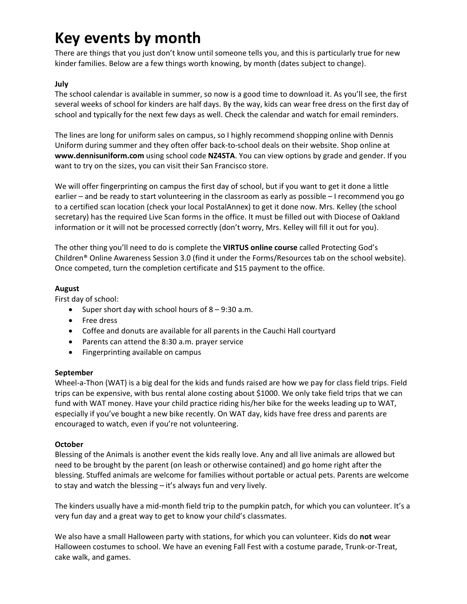# **Key events by month**

There are things that you just don't know until someone tells you, and this is particularly true for new kinder families. Below are a few things worth knowing, by month (dates subject to change).

# **July**

The school calendar is available in summer, so now is a good time to download it. As you'll see, the first several weeks of school for kinders are half days. By the way, kids can wear free dress on the first day of school and typically for the next few days as well. Check the calendar and watch for email reminders.

The lines are long for uniform sales on campus, so I highly recommend shopping online with Dennis Uniform during summer and they often offer back-to-school deals on their website. Shop online at **www.dennisuniform.com** using school code **NZ4STA**. You can view options by grade and gender. If you want to try on the sizes, you can visit their San Francisco store.

We will offer fingerprinting on campus the first day of school, but if you want to get it done a little earlier – and be ready to start volunteering in the classroom as early as possible – I recommend you go to a certified scan location (check your local PostalAnnex) to get it done now. Mrs. Kelley (the school secretary) has the required Live Scan forms in the office. It must be filled out with Diocese of Oakland information or it will not be processed correctly (don't worry, Mrs. Kelley will fill it out for you).

The other thing you'll need to do is complete the **VIRTUS online course** called Protecting God's Children® Online Awareness Session 3.0 (find it under the Forms/Resources tab on the school website). Once competed, turn the completion certificate and \$15 payment to the office.

## **August**

First day of school:

- Super short day with school hours of  $8 9:30$  a.m.
- Free dress
- Coffee and donuts are available for all parents in the Cauchi Hall courtyard
- Parents can attend the 8:30 a.m. prayer service
- Fingerprinting available on campus

#### **September**

Wheel-a-Thon (WAT) is a big deal for the kids and funds raised are how we pay for class field trips. Field trips can be expensive, with bus rental alone costing about \$1000. We only take field trips that we can fund with WAT money. Have your child practice riding his/her bike for the weeks leading up to WAT, especially if you've bought a new bike recently. On WAT day, kids have free dress and parents are encouraged to watch, even if you're not volunteering.

#### **October**

Blessing of the Animals is another event the kids really love. Any and all live animals are allowed but need to be brought by the parent (on leash or otherwise contained) and go home right after the blessing. Stuffed animals are welcome for families without portable or actual pets. Parents are welcome to stay and watch the blessing – it's always fun and very lively.

The kinders usually have a mid-month field trip to the pumpkin patch, for which you can volunteer. It's a very fun day and a great way to get to know your child's classmates.

We also have a small Halloween party with stations, for which you can volunteer. Kids do **not** wear Halloween costumes to school. We have an evening Fall Fest with a costume parade, Trunk-or-Treat, cake walk, and games.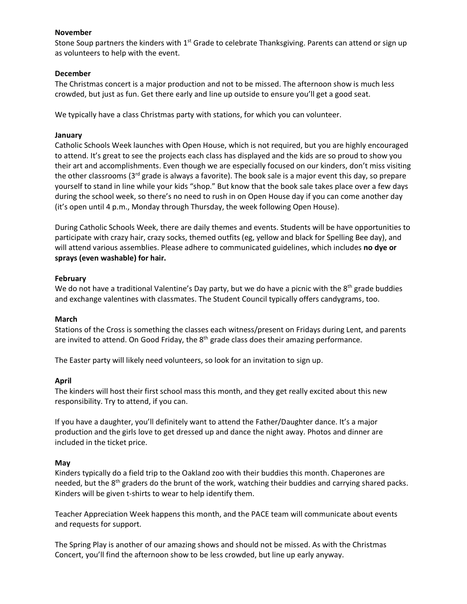#### **November**

Stone Soup partners the kinders with 1<sup>st</sup> Grade to celebrate Thanksgiving. Parents can attend or sign up as volunteers to help with the event.

#### **December**

The Christmas concert is a major production and not to be missed. The afternoon show is much less crowded, but just as fun. Get there early and line up outside to ensure you'll get a good seat.

We typically have a class Christmas party with stations, for which you can volunteer.

#### **January**

Catholic Schools Week launches with Open House, which is not required, but you are highly encouraged to attend. It's great to see the projects each class has displayed and the kids are so proud to show you their art and accomplishments. Even though we are especially focused on our kinders, don't miss visiting the other classrooms (3<sup>rd</sup> grade is always a favorite). The book sale is a major event this day, so prepare yourself to stand in line while your kids "shop." But know that the book sale takes place over a few days during the school week, so there's no need to rush in on Open House day if you can come another day (it's open until 4 p.m., Monday through Thursday, the week following Open House).

During Catholic Schools Week, there are daily themes and events. Students will be have opportunities to participate with crazy hair, crazy socks, themed outfits (eg, yellow and black for Spelling Bee day), and will attend various assemblies. Please adhere to communicated guidelines, which includes **no dye or sprays (even washable) for hair.**

#### **February**

We do not have a traditional Valentine's Day party, but we do have a picnic with the  $8<sup>th</sup>$  grade buddies and exchange valentines with classmates. The Student Council typically offers candygrams, too.

#### **March**

Stations of the Cross is something the classes each witness/present on Fridays during Lent, and parents are invited to attend. On Good Friday, the  $8<sup>th</sup>$  grade class does their amazing performance.

The Easter party will likely need volunteers, so look for an invitation to sign up.

#### **April**

The kinders will host their first school mass this month, and they get really excited about this new responsibility. Try to attend, if you can.

If you have a daughter, you'll definitely want to attend the Father/Daughter dance. It's a major production and the girls love to get dressed up and dance the night away. Photos and dinner are included in the ticket price.

#### **May**

Kinders typically do a field trip to the Oakland zoo with their buddies this month. Chaperones are needed, but the 8<sup>th</sup> graders do the brunt of the work, watching their buddies and carrying shared packs. Kinders will be given t-shirts to wear to help identify them.

Teacher Appreciation Week happens this month, and the PACE team will communicate about events and requests for support.

The Spring Play is another of our amazing shows and should not be missed. As with the Christmas Concert, you'll find the afternoon show to be less crowded, but line up early anyway.